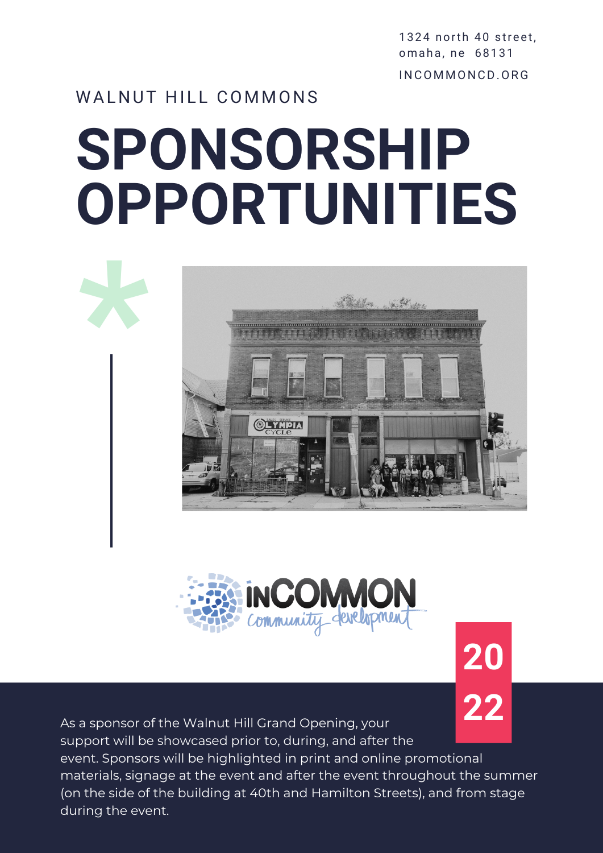1324 north 40 street. omaha, ne 68131 I N COMMON CD.ORG

**20**

### WALNUT HILL COMMONS

# **SPONSORSHIP OPPORTUNITIES**





As a sponsor of the Walnut Hill Grand Opening, your **22** support will be showcased prior to, during, and after the event. Sponsors will be highlighted in print and online promotional materials, signage at the event and after the event throughout the summer (on the side of the building at 40th and Hamilton Streets), and from stage during the event.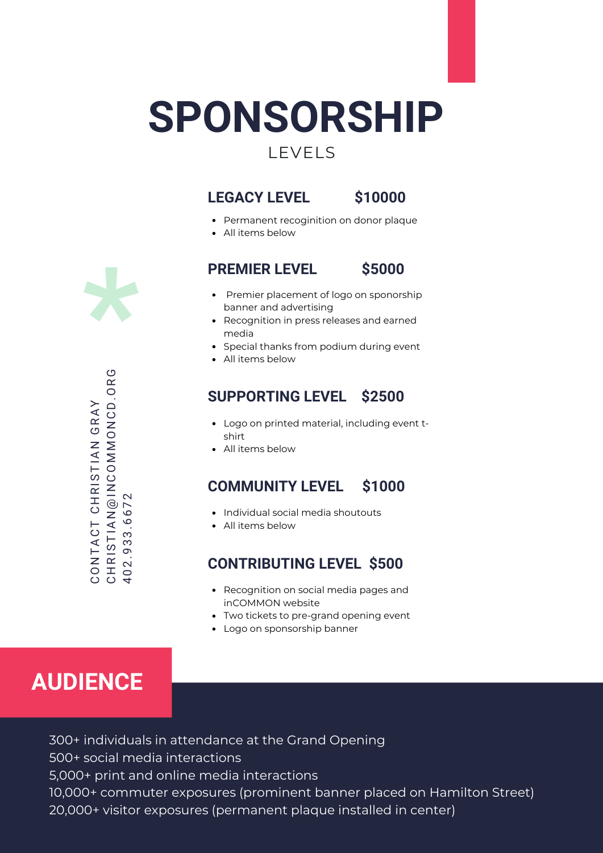## **SPONSORSHIP**

## LEVELS

#### **LEGACY LEVEL \$10000**

- Permanent recoginition on donor plaque
- All items below

**PREMIER LEVEL \$5000**



- Premier placement of logo on sponorship banner and advertising
- Recognition in press releases and earned media
- Special thanks from podium during event
- All items below

#### **SUPPORTING LEVEL \$2500**

- Logo on printed material, including event tshirt
- All items below

#### **COMMUNITY LEVEL \$1000**

- Individual social media shoutouts
- All items below

#### **CONTRIBUTING LEVEL \$500**

- Recognition on social media pages and inCOMMON website
- Two tickets to pre-grand opening event
- Logo on sponsorship banner

## **AUDIENCE**

300+ individuals in attendance at the Grand Opening 500+ social media interactions 5,000+ print and online media interactions 10,000+ commuter exposures (prominent banner placed on Hamilton Street) 20,000+ visitor exposures (permanent plaque installed in center)



C H R I S T I A N @ I N C O M M O N C D . O R G C O N T A C T C H R I S T I A N G R A Y CONTACT CHRISTIAN GRAY 4 0 2 . 9 3 3 . 6 6 7 2